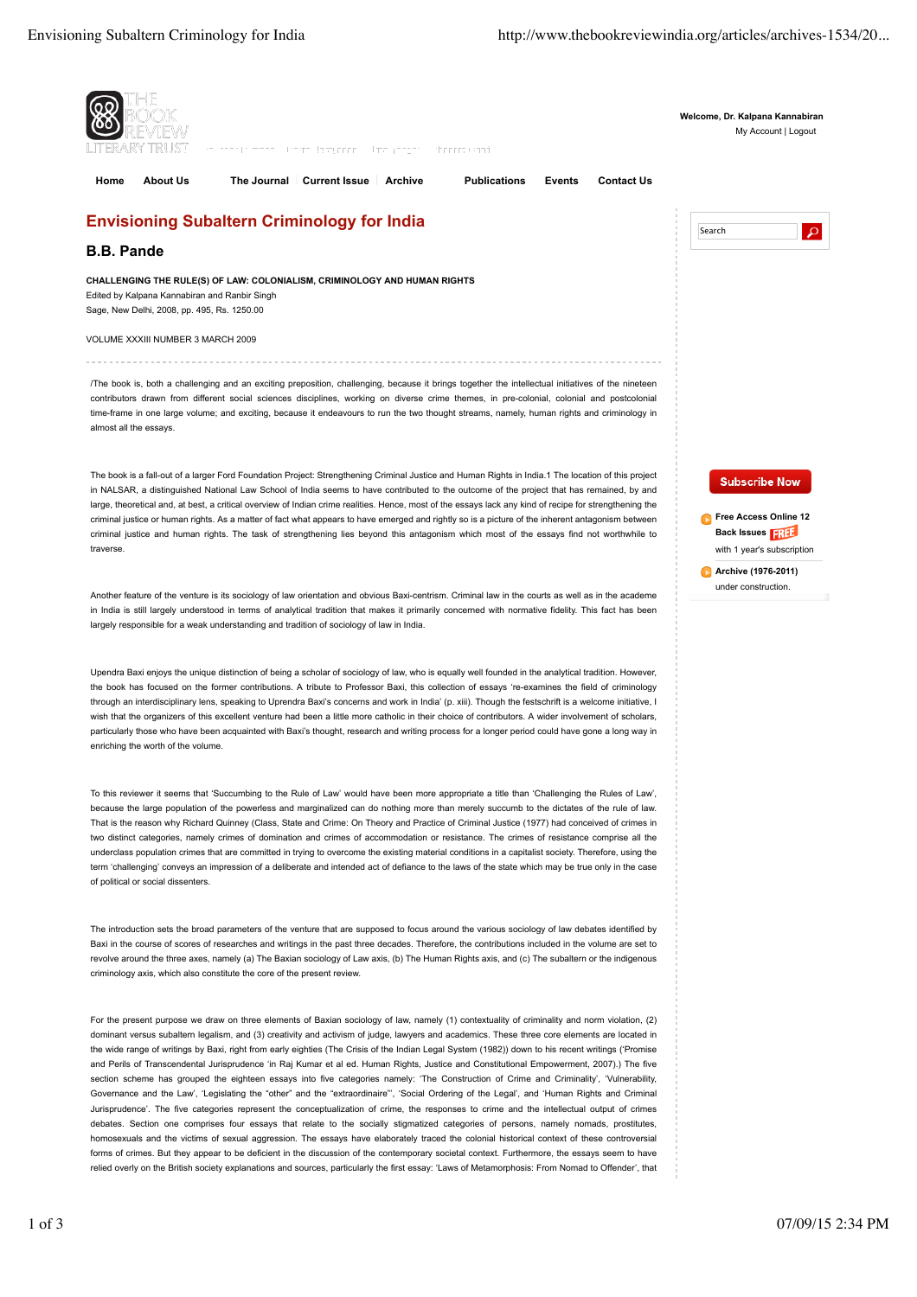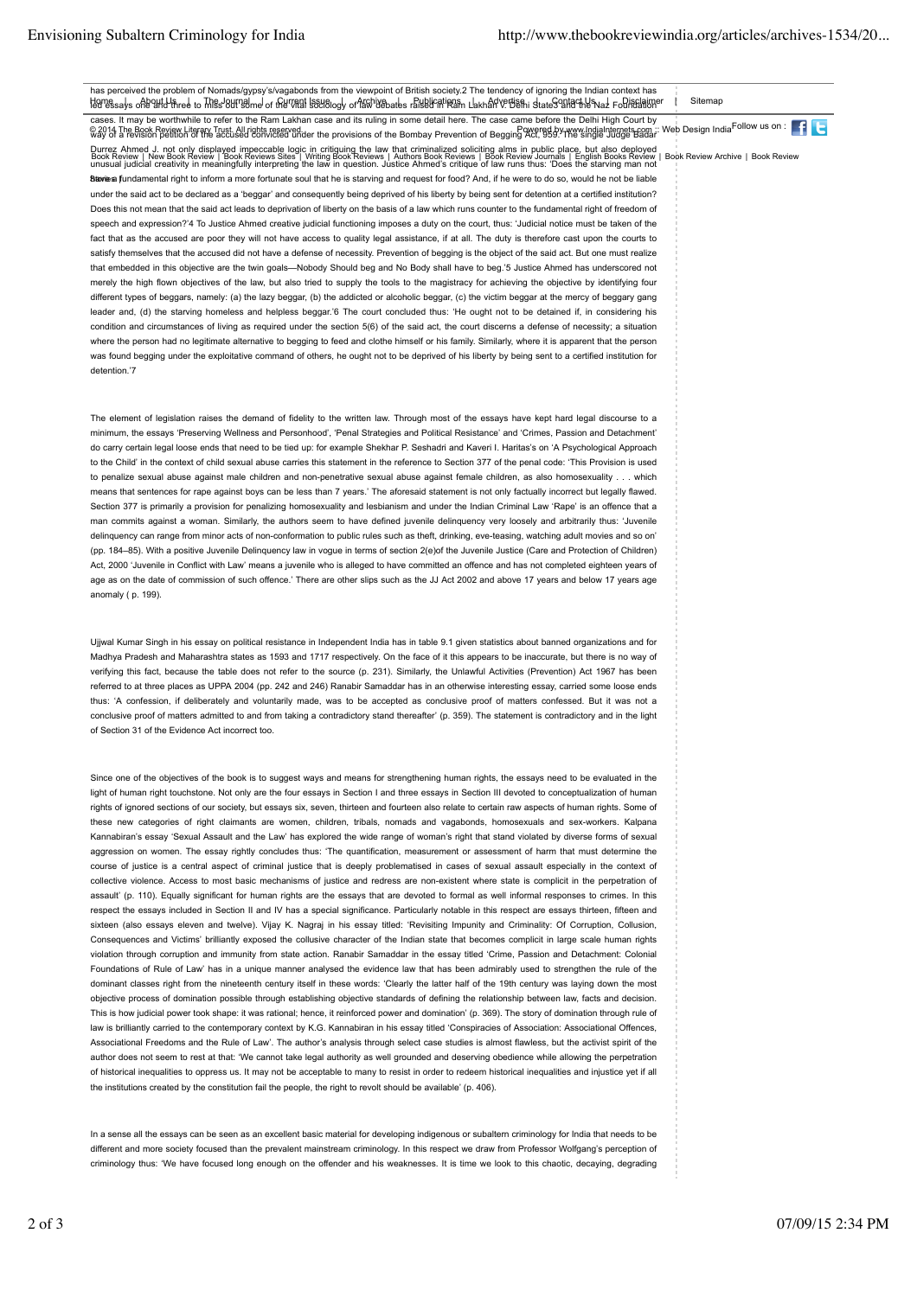has perceived the problem of Nomads/gypsy's/vagabonds from the viewpoint of British society.2 The tendency of ignoring the Indian context has Havessays one and there to Thiss auraalme of the Vital Isausiogy or any base of subjection and the man also for the Syntachle Naz Foldsdamper I Sitemap cases. It may be worthwhile to refer to the Ram Lakhan case and its ruling in some detail here. The case came before the Delhi High Court by CONTRIBUTION OF THE SOLUTION OF THE CONTROL OF THE CONTROL CONTROL CONTROL CONTROL CONTROL CONTROL CONTROL CONTROL CONTROL CONTROL CONTROL CONTROL CONTROL CONTROL CONTROL CONTROL CONTROL CONTROL CONTROL CONTROL CONTROL CON Durrez Ahmed J. not only displayed impeccable logic in critiquing the law that criminalized soliciting alms in public place, but also deployed Book Review | New Book Review | Book Reviews Sites"| Writing Book Reviews | Authors Book Reviews | Book Review Journals | English Books Review | Book Review Archive | Book Review<br>unusual judicial creativity in meaningfull Blavies fundamental right to inform a more fortunate soul that he is starving and request for food? And, if he were to do so, would he not be liable under the said act to be declared as a 'beggar' and consequently being deprived of his liberty by being sent for detention at a certified institution? Does this not mean that the said act leads to deprivation of liberty on the basis of a law which runs counter to the fundamental right of freedom of speech and expression?'4 To Justice Ahmed creative judicial functioning imposes a duty on the court, thus: 'Judicial notice must be taken of the fact that as the accused are poor they will not have access to quality legal assistance, if at all. The duty is therefore cast upon the courts to satisfy themselves that the accused did not have a defense of necessity. Prevention of begging is the object of the said act. But one must realize that embedded in this objective are the twin goals—Nobody Should beg and No Body shall have to beg.'5 Justice Ahmed has underscored not merely the high flown objectives of the law, but also tried to supply the tools to the magistracy for achieving the objective by identifying four different types of beggars, namely: (a) the lazy beggar, (b) the addicted or alcoholic beggar, (c) the victim beggar at the mercy of beggary gang leader and, (d) the starving homeless and helpless beggar.'6 The court concluded thus: 'He ought not to be detained if, in considering his condition and circumstances of living as required under the section 5(6) of the said act, the court discerns a defense of necessity; a situation where the person had no legitimate alternative to begging to feed and clothe himself or his family. Similarly, where it is apparent that the person was found begging under the exploitative command of others, he ought not to be deprived of his liberty by being sent to a certified institution for detention.'7

The element of legislation raises the demand of fidelity to the written law. Through most of the essays have kept hard legal discourse to a minimum, the essays 'Preserving Wellness and Personhood', 'Penal Strategies and Political Resistance' and 'Crimes, Passion and Detachment' do carry certain legal loose ends that need to be tied up: for example Shekhar P. Seshadri and Kaveri I. Haritas's on 'A Psychological Approach to the Child' in the context of child sexual abuse carries this statement in the reference to Section 377 of the penal code: 'This Provision is used to penalize sexual abuse against male children and non-penetrative sexual abuse against female children, as also homosexuality . . . which means that sentences for rape against boys can be less than 7 years.' The aforesaid statement is not only factually incorrect but legally flawed. Section 377 is primarily a provision for penalizing homosexuality and lesbianism and under the Indian Criminal Law 'Rape' is an offence that a man commits against a woman. Similarly, the authors seem to have defined juvenile delinquency very loosely and arbitrarily thus: 'Juvenile delinquency can range from minor acts of non-conformation to public rules such as theft, drinking, eve-teasing, watching adult movies and so on' (pp. 184–85). With a positive Juvenile Delinquency law in vogue in terms of section 2(e)of the Juvenile Justice (Care and Protection of Children) Act, 2000 'Juvenile in Conflict with Law' means a juvenile who is alleged to have committed an offence and has not completed eighteen years of age as on the date of commission of such offence.' There are other slips such as the JJ Act 2002 and above 17 years and below 17 years age anomaly ( p. 199).

Ujjwal Kumar Singh in his essay on political resistance in Independent India has in table 9.1 given statistics about banned organizations and for Madhya Pradesh and Maharashtra states as 1593 and 1717 respectively. On the face of it this appears to be inaccurate, but there is no way of verifying this fact, because the table does not refer to the source (p. 231). Similarly, the Unlawful Activities (Prevention) Act 1967 has been referred to at three places as UPPA 2004 (pp. 242 and 246) Ranabir Samaddar has in an otherwise interesting essay, carried some loose ends thus: 'A confession, if deliberately and voluntarily made, was to be accepted as conclusive proof of matters confessed. But it was not a conclusive proof of matters admitted to and from taking a contradictory stand thereafter' (p. 359). The statement is contradictory and in the light of Section 31 of the Evidence Act incorrect too.

Since one of the objectives of the book is to suggest ways and means for strengthening human rights, the essays need to be evaluated in the light of human right touchstone. Not only are the four essays in Section I and three essays in Section III devoted to conceptualization of human rights of ignored sections of our society, but essays six, seven, thirteen and fourteen also relate to certain raw aspects of human rights. Some of these new categories of right claimants are women, children, tribals, nomads and vagabonds, homosexuals and sex-workers. Kalpana Kannabiran's essay 'Sexual Assault and the Law' has explored the wide range of woman's right that stand violated by diverse forms of sexual aggression on women. The essay rightly concludes thus: 'The quantification, measurement or assessment of harm that must determine the course of justice is a central aspect of criminal justice that is deeply problematised in cases of sexual assault especially in the context of collective violence. Access to most basic mechanisms of justice and redress are non-existent where state is complicit in the perpetration of assault' (p. 110). Equally significant for human rights are the essays that are devoted to formal as well informal responses to crimes. In this respect the essays included in Section II and IV has a special significance. Particularly notable in this respect are essays thirteen, fifteen and sixteen (also essays eleven and twelve). Vijay K. Nagraj in his essay titled: 'Revisiting Impunity and Criminality: Of Corruption, Collusion, Consequences and Victims' brilliantly exposed the collusive character of the Indian state that becomes complicit in large scale human rights violation through corruption and immunity from state action. Ranabir Samaddar in the essay titled 'Crime, Passion and Detachment: Colonial Foundations of Rule of Law' has in a unique manner analysed the evidence law that has been admirably used to strengthen the rule of the dominant classes right from the nineteenth century itself in these words: 'Clearly the latter half of the 19th century was laying down the most objective process of domination possible through establishing objective standards of defining the relationship between law, facts and decision. This is how judicial power took shape: it was rational; hence, it reinforced power and domination' (p. 369). The story of domination through rule of law is brilliantly carried to the contemporary context by K.G. Kannabiran in his essay titled 'Conspiracies of Association: Associational Offences, Associational Freedoms and the Rule of Law'. The author's analysis through select case studies is almost flawless, but the activist spirit of the author does not seem to rest at that: 'We cannot take legal authority as well grounded and deserving obedience while allowing the perpetration of historical inequalities to oppress us. It may not be acceptable to many to resist in order to redeem historical inequalities and injustice yet if all the institutions created by the constitution fail the people, the right to revolt should be available' (p. 406).

In a sense all the essays can be seen as an excellent basic material for developing indigenous or subaltern criminology for India that needs to be different and more society focused than the prevalent mainstream criminology. In this respect we draw from Professor Wolfgang's perception of criminology thus: 'We have focused long enough on the offender and his weaknesses. It is time we look to this chaotic, decaying, degrading